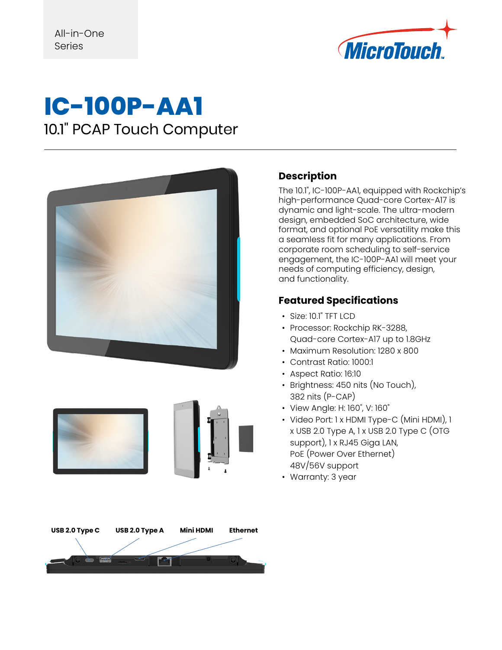

## **IC-100P-AA1** 10.1" PCAP Touch Computer





## **USB 2.0 Type C USB 2.0 Type A Mini HDMI Ethernet**ΓΠ

#### **Description**

The 10.1", IC-100P-AA1, equipped with Rockchip's high-performance Quad-core Cortex-A17 is dynamic and light-scale. The ultra-modern design, embedded SoC architecture, wide format, and optional PoE versatility make this a seamless fit for many applications. From corporate room scheduling to self-service engagement, the IC-100P-AA1 will meet your needs of computing efficiency, design, and functionality.

#### **Featured Specifications**

- Size: 10.1" TFT LCD
- Processor: Rockchip RK-3288, Quad-core Cortex-A17 up to 1.8GHz
- Maximum Resolution: 1280 x 800
- Contrast Ratio: 1000:1
- Aspect Ratio: 16:10
- Brightness: 450 nits (No Touch), 382 nits (P-CAP)
- View Angle: H: 160˚, V: 160˚
- Video Port: 1 x HDMI Type-C (Mini HDMI), 1 x USB 2.0 Type A, 1 x USB 2.0 Type C (OTG support), 1 x RJ45 Giga LAN, PoE (Power Over Ethernet) 48V/56V support
- Warranty: 3 year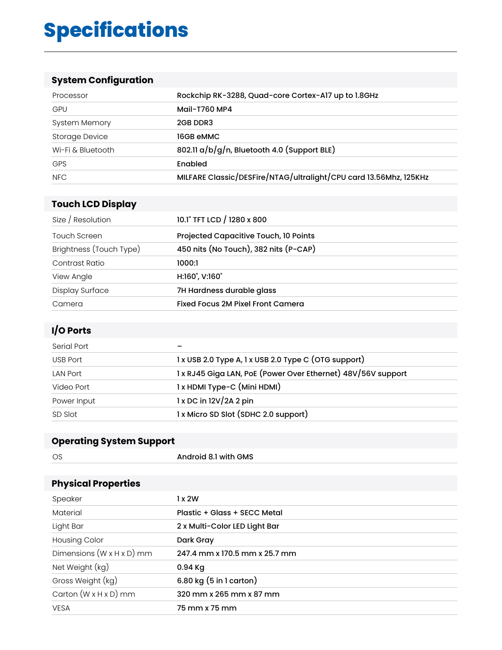# **Specifications**

### **System Configuration**

| Processor         | Rockchip RK-3288, Quad-core Cortex-A17 up to 1.8GHz               |
|-------------------|-------------------------------------------------------------------|
| <b>GPU</b>        | Mail-T760 MP4                                                     |
| System Memory     | 2GB DDR3                                                          |
| Storage Device    | 16GB eMMC                                                         |
| Wi-Fi & Bluetooth | 802.11 $a/b/g/n$ , Bluetooth 4.0 (Support BLE)                    |
| <b>GPS</b>        | Enabled                                                           |
| NFC               | MILFARE Classic/DESFire/NTAG/ultralight/CPU card 13.56Mhz, 125KHz |

#### **Touch LCD Display**

| Size / Resolution       | 10.1" TFT LCD / 1280 x 800            |
|-------------------------|---------------------------------------|
| Touch Screen            | Projected Capacitive Touch, 10 Points |
| Brightness (Touch Type) | 450 nits (No Touch), 382 nits (P-CAP) |
| Contrast Ratio          | 1000:1                                |
| View Angle              | H:160°, V:160°                        |
| Display Surface         | 7H Hardness durable glass             |
| Camera                  | Fixed Focus 2M Pixel Front Camera     |

#### **I/O Ports**

| Serial Port     |                                                              |
|-----------------|--------------------------------------------------------------|
| USB Port        | 1 x USB 2.0 Type A, 1 x USB 2.0 Type C (OTG support)         |
| <b>LAN Port</b> | 1 x RJ45 Giga LAN, PoE (Power Over Ethernet) 48V/56V support |
| Video Port      | 1 x HDMI Type-C (Mini HDMI)                                  |
| Power Input     | $1x$ DC in $12V/2A$ 2 pin                                    |
| SD Slot         | 1 x Micro SD Slot (SDHC 2.0 support)                         |

### **Operating System Support**

| <b>OS</b> | Android 8.1 with GMS |
|-----------|----------------------|
| ___       |                      |
|           |                      |

#### **Physical Properties**

| Speaker                               | 1x2W                          |
|---------------------------------------|-------------------------------|
| Material                              | Plastic + Glass + SECC Metal  |
| Light Bar                             | 2 x Multi-Color LED Light Bar |
| <b>Housing Color</b>                  | Dark Gray                     |
| Dimensions $(W \times H \times D)$ mm | 247.4 mm x 170.5 mm x 25.7 mm |
| Net Weight (kg)                       | 0.94 Kg                       |
| Gross Weight (kg)                     | 6.80 kg $(5 in 1 cart)$       |
| Carton $(W \times H \times D)$ mm     | 320 mm x 265 mm x 87 mm       |
| <b>VESA</b>                           | 75 mm x 75 mm                 |